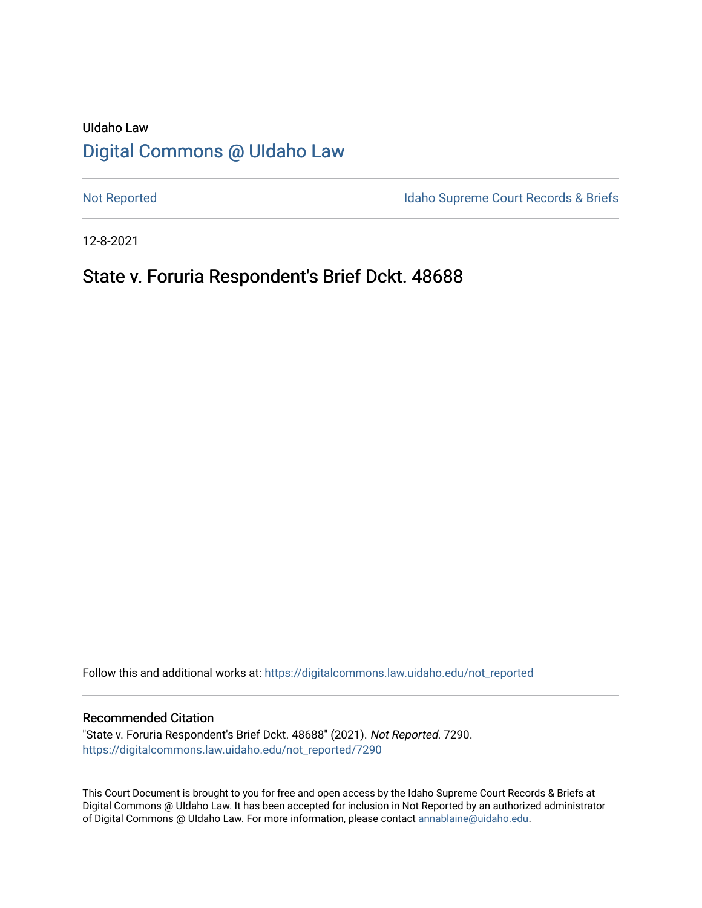# UIdaho Law [Digital Commons @ UIdaho Law](https://digitalcommons.law.uidaho.edu/)

[Not Reported](https://digitalcommons.law.uidaho.edu/not_reported) **Idaho Supreme Court Records & Briefs** 

12-8-2021

## State v. Foruria Respondent's Brief Dckt. 48688

Follow this and additional works at: [https://digitalcommons.law.uidaho.edu/not\\_reported](https://digitalcommons.law.uidaho.edu/not_reported?utm_source=digitalcommons.law.uidaho.edu%2Fnot_reported%2F7290&utm_medium=PDF&utm_campaign=PDFCoverPages) 

#### Recommended Citation

"State v. Foruria Respondent's Brief Dckt. 48688" (2021). Not Reported. 7290. [https://digitalcommons.law.uidaho.edu/not\\_reported/7290](https://digitalcommons.law.uidaho.edu/not_reported/7290?utm_source=digitalcommons.law.uidaho.edu%2Fnot_reported%2F7290&utm_medium=PDF&utm_campaign=PDFCoverPages)

This Court Document is brought to you for free and open access by the Idaho Supreme Court Records & Briefs at Digital Commons @ UIdaho Law. It has been accepted for inclusion in Not Reported by an authorized administrator of Digital Commons @ UIdaho Law. For more information, please contact [annablaine@uidaho.edu](mailto:annablaine@uidaho.edu).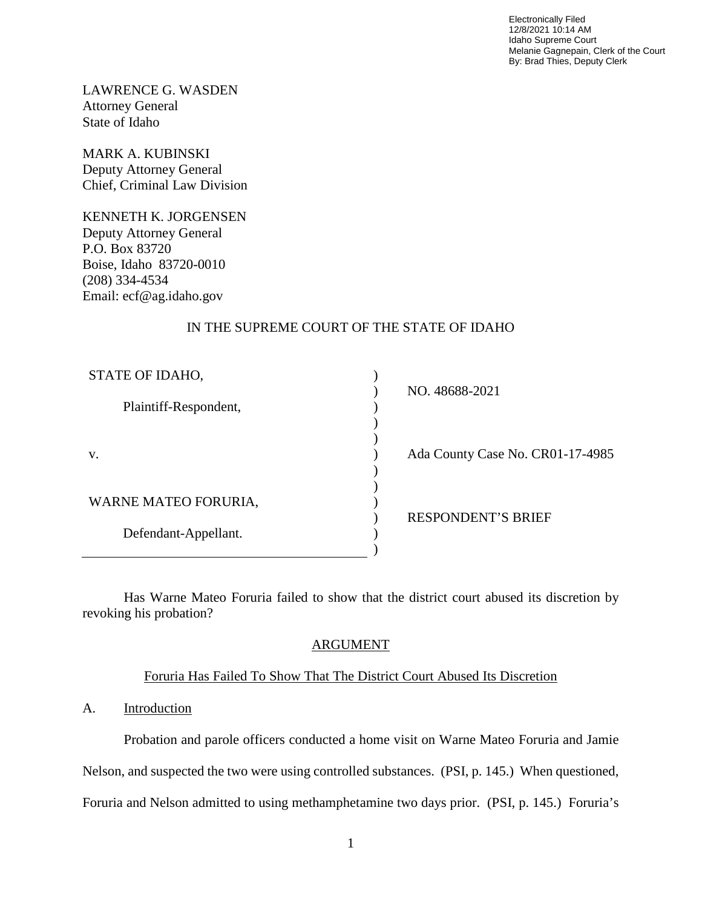Electronically Filed 12/8/2021 10:14 AM Idaho Supreme Court Melanie Gagnepain, Clerk of the Court By: Brad Thies, Deputy Clerk

LAWRENCE G. WASDEN Attorney General State of Idaho

MARK A. KUBINSKI Deputy Attorney General Chief, Criminal Law Division

KENNETH K. JORGENSEN Deputy Attorney General P.O. Box 83720 Boise, Idaho 83720-0010 (208) 334-4534 Email: ecf@ag.idaho.gov

## IN THE SUPREME COURT OF THE STATE OF IDAHO

| STATE OF IDAHO,       | NO. 48688-2021                   |
|-----------------------|----------------------------------|
| Plaintiff-Respondent, |                                  |
|                       |                                  |
| V.                    | Ada County Case No. CR01-17-4985 |
|                       |                                  |
| WARNE MATEO FORURIA,  |                                  |
|                       | <b>RESPONDENT'S BRIEF</b>        |
| Defendant-Appellant.  |                                  |
|                       |                                  |

Has Warne Mateo Foruria failed to show that the district court abused its discretion by revoking his probation?

## ARGUMENT

## Foruria Has Failed To Show That The District Court Abused Its Discretion

## A. Introduction

Probation and parole officers conducted a home visit on Warne Mateo Foruria and Jamie Nelson, and suspected the two were using controlled substances. (PSI, p. 145.) When questioned, Foruria and Nelson admitted to using methamphetamine two days prior. (PSI, p. 145.) Foruria's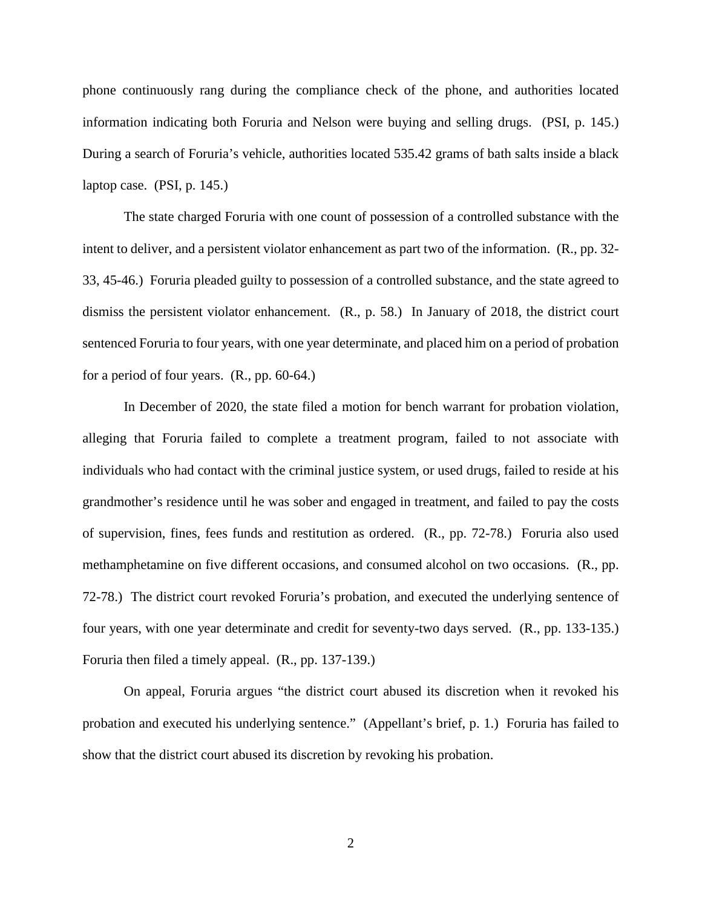phone continuously rang during the compliance check of the phone, and authorities located information indicating both Foruria and Nelson were buying and selling drugs. (PSI, p. 145.) During a search of Foruria's vehicle, authorities located 535.42 grams of bath salts inside a black laptop case. (PSI, p. 145.)

The state charged Foruria with one count of possession of a controlled substance with the intent to deliver, and a persistent violator enhancement as part two of the information. (R., pp. 32- 33, 45-46.) Foruria pleaded guilty to possession of a controlled substance, and the state agreed to dismiss the persistent violator enhancement. (R., p. 58.) In January of 2018, the district court sentenced Foruria to four years, with one year determinate, and placed him on a period of probation for a period of four years. (R., pp. 60-64.)

In December of 2020, the state filed a motion for bench warrant for probation violation, alleging that Foruria failed to complete a treatment program, failed to not associate with individuals who had contact with the criminal justice system, or used drugs, failed to reside at his grandmother's residence until he was sober and engaged in treatment, and failed to pay the costs of supervision, fines, fees funds and restitution as ordered. (R., pp. 72-78.) Foruria also used methamphetamine on five different occasions, and consumed alcohol on two occasions. (R., pp. 72-78.) The district court revoked Foruria's probation, and executed the underlying sentence of four years, with one year determinate and credit for seventy-two days served. (R., pp. 133-135.) Foruria then filed a timely appeal. (R., pp. 137-139.)

On appeal, Foruria argues "the district court abused its discretion when it revoked his probation and executed his underlying sentence." (Appellant's brief, p. 1.) Foruria has failed to show that the district court abused its discretion by revoking his probation.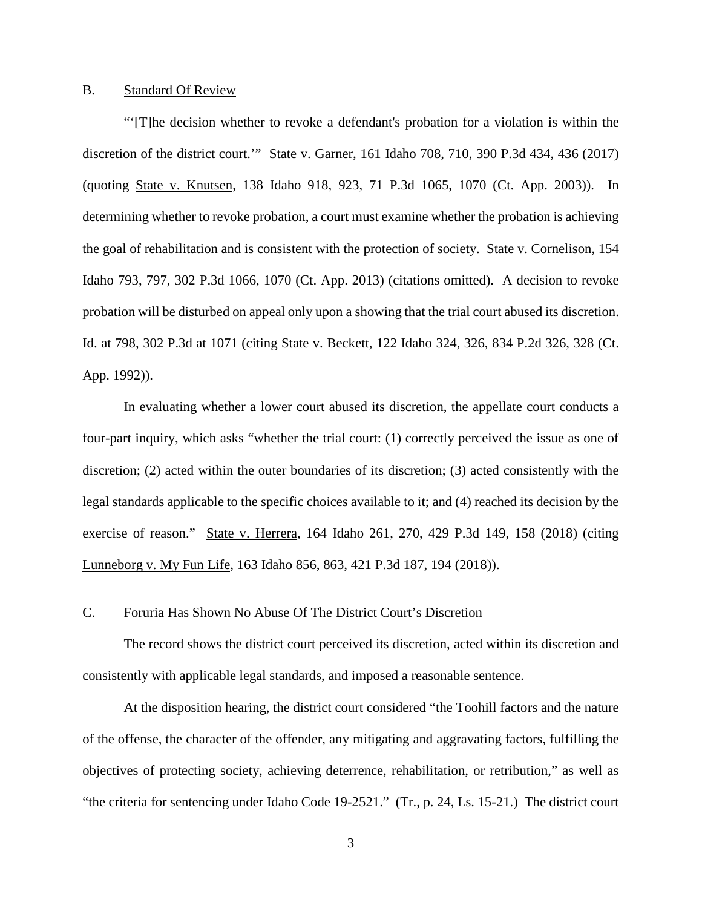### B. Standard Of Review

"'[T]he decision whether to revoke a defendant's probation for a violation is within the discretion of the district court.'" State v. Garner, 161 Idaho 708, 710, 390 P.3d 434, 436 (2017) (quoting State v. Knutsen, 138 Idaho 918, 923, 71 P.3d 1065, 1070 (Ct. App. 2003)). In determining whether to revoke probation, a court must examine whether the probation is achieving the goal of rehabilitation and is consistent with the protection of society. State v. Cornelison, 154 Idaho 793, 797, 302 P.3d 1066, 1070 (Ct. App. 2013) (citations omitted). A decision to revoke probation will be disturbed on appeal only upon a showing that the trial court abused its discretion. Id. at 798, 302 P.3d at 1071 (citing State v. Beckett, 122 Idaho 324, 326, 834 P.2d 326, 328 (Ct. App. 1992)).

In evaluating whether a lower court abused its discretion, the appellate court conducts a four-part inquiry, which asks "whether the trial court: (1) correctly perceived the issue as one of discretion; (2) acted within the outer boundaries of its discretion; (3) acted consistently with the legal standards applicable to the specific choices available to it; and (4) reached its decision by the exercise of reason." State v. Herrera, 164 Idaho 261, 270, 429 P.3d 149, 158 (2018) (citing Lunneborg v. My Fun Life, 163 Idaho 856, 863, 421 P.3d 187, 194 (2018)).

#### C. Foruria Has Shown No Abuse Of The District Court's Discretion

The record shows the district court perceived its discretion, acted within its discretion and consistently with applicable legal standards, and imposed a reasonable sentence.

At the disposition hearing, the district court considered "the Toohill factors and the nature of the offense, the character of the offender, any mitigating and aggravating factors, fulfilling the objectives of protecting society, achieving deterrence, rehabilitation, or retribution," as well as "the criteria for sentencing under Idaho Code 19-2521." (Tr., p. 24, Ls. 15-21.) The district court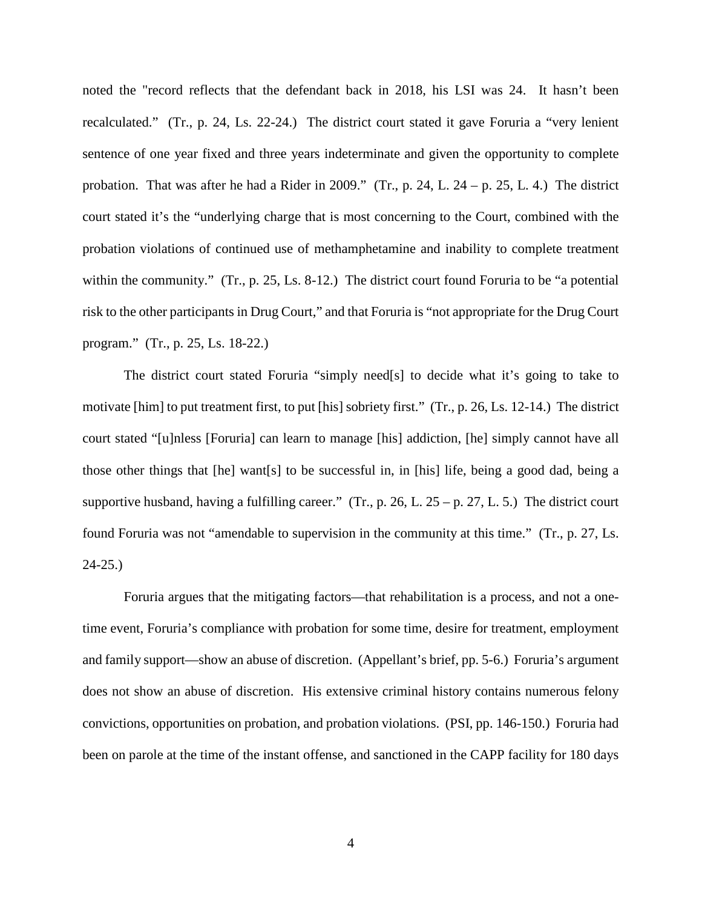noted the "record reflects that the defendant back in 2018, his LSI was 24. It hasn't been recalculated." (Tr., p. 24, Ls. 22-24.) The district court stated it gave Foruria a "very lenient sentence of one year fixed and three years indeterminate and given the opportunity to complete probation. That was after he had a Rider in 2009." (Tr., p. 24, L. 24 – p. 25, L. 4.) The district court stated it's the "underlying charge that is most concerning to the Court, combined with the probation violations of continued use of methamphetamine and inability to complete treatment within the community." (Tr., p. 25, Ls. 8-12.) The district court found Foruria to be "a potential risk to the other participants in Drug Court," and that Foruria is "not appropriate for the Drug Court program." (Tr., p. 25, Ls. 18-22.)

The district court stated Foruria "simply need[s] to decide what it's going to take to motivate [him] to put treatment first, to put [his] sobriety first." (Tr., p. 26, Ls. 12-14.) The district court stated "[u]nless [Foruria] can learn to manage [his] addiction, [he] simply cannot have all those other things that [he] want[s] to be successful in, in [his] life, being a good dad, being a supportive husband, having a fulfilling career." (Tr., p. 26, L. 25 – p. 27, L. 5.) The district court found Foruria was not "amendable to supervision in the community at this time." (Tr., p. 27, Ls. 24-25.)

Foruria argues that the mitigating factors—that rehabilitation is a process, and not a onetime event, Foruria's compliance with probation for some time, desire for treatment, employment and family support—show an abuse of discretion. (Appellant's brief, pp. 5-6.) Foruria's argument does not show an abuse of discretion. His extensive criminal history contains numerous felony convictions, opportunities on probation, and probation violations. (PSI, pp. 146-150.) Foruria had been on parole at the time of the instant offense, and sanctioned in the CAPP facility for 180 days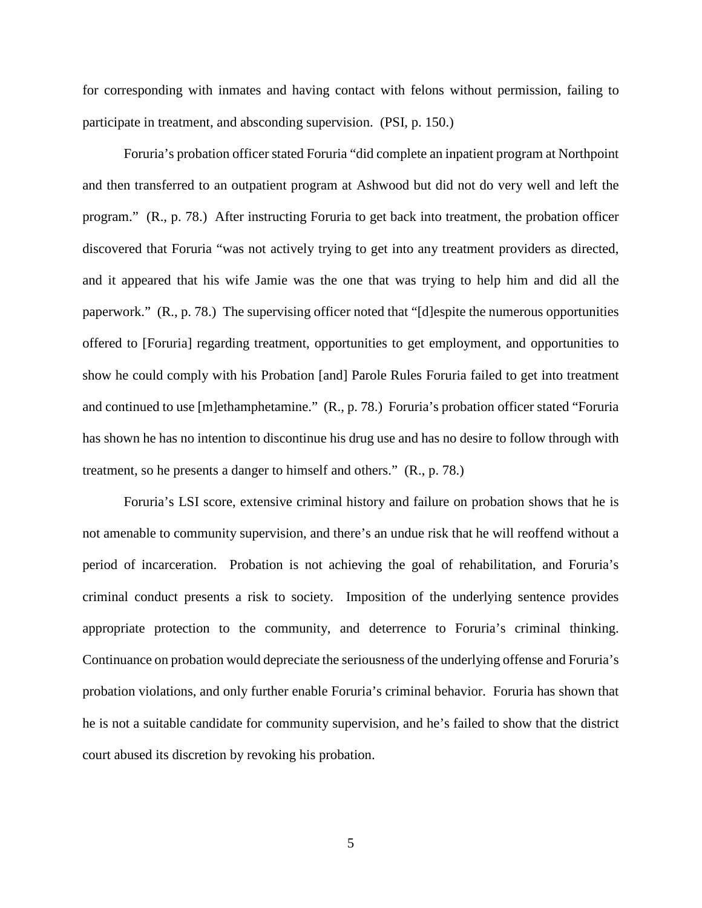for corresponding with inmates and having contact with felons without permission, failing to participate in treatment, and absconding supervision. (PSI, p. 150.)

Foruria's probation officer stated Foruria "did complete an inpatient program at Northpoint and then transferred to an outpatient program at Ashwood but did not do very well and left the program." (R., p. 78.) After instructing Foruria to get back into treatment, the probation officer discovered that Foruria "was not actively trying to get into any treatment providers as directed, and it appeared that his wife Jamie was the one that was trying to help him and did all the paperwork." (R., p. 78.) The supervising officer noted that "[d]espite the numerous opportunities offered to [Foruria] regarding treatment, opportunities to get employment, and opportunities to show he could comply with his Probation [and] Parole Rules Foruria failed to get into treatment and continued to use [m]ethamphetamine." (R., p. 78.) Foruria's probation officer stated "Foruria has shown he has no intention to discontinue his drug use and has no desire to follow through with treatment, so he presents a danger to himself and others." (R., p. 78.)

Foruria's LSI score, extensive criminal history and failure on probation shows that he is not amenable to community supervision, and there's an undue risk that he will reoffend without a period of incarceration. Probation is not achieving the goal of rehabilitation, and Foruria's criminal conduct presents a risk to society. Imposition of the underlying sentence provides appropriate protection to the community, and deterrence to Foruria's criminal thinking. Continuance on probation would depreciate the seriousness of the underlying offense and Foruria's probation violations, and only further enable Foruria's criminal behavior. Foruria has shown that he is not a suitable candidate for community supervision, and he's failed to show that the district court abused its discretion by revoking his probation.